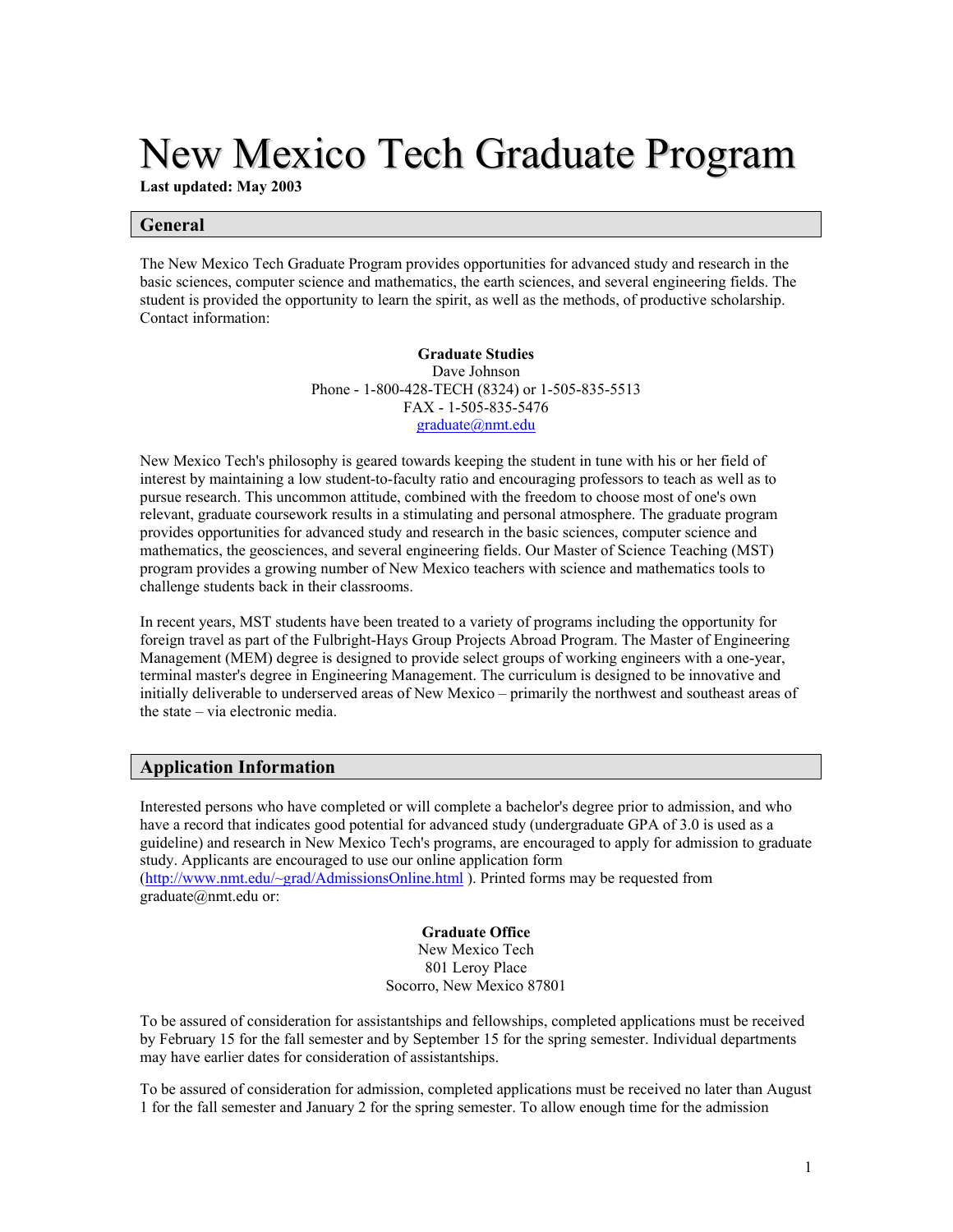# New Mexico Tech Graduate Program

**Last updated: May 2003**

# **General**

The New Mexico Tech Graduate Program provides opportunities for advanced study and research in the basic sciences, computer science and mathematics, the earth sciences, and several engineering fields. The student is provided the opportunity to learn the spirit, as well as the methods, of productive scholarship. Contact information:

> **Graduate Studies** Dave Johnson Phone - 1-800-428-TECH (8324) or 1-505-835-5513 FAX - 1-505-835-5476 [graduate@nmt.edu](mailto:graduate@nmt.edu)

New Mexico Tech's philosophy is geared towards keeping the student in tune with his or her field of interest by maintaining a low student-to-faculty ratio and encouraging professors to teach as well as to pursue research. This uncommon attitude, combined with the freedom to choose most of one's own relevant, graduate coursework results in a stimulating and personal atmosphere. The graduate program provides opportunities for advanced study and research in the basic sciences, computer science and mathematics, the geosciences, and several engineering fields. Our Master of Science Teaching (MST) program provides a growing number of New Mexico teachers with science and mathematics tools to challenge students back in their classrooms.

In recent years, MST students have been treated to a variety of programs including the opportunity for foreign travel as part of the Fulbright-Hays Group Projects Abroad Program. The Master of Engineering Management (MEM) degree is designed to provide select groups of working engineers with a one-year, terminal master's degree in Engineering Management. The curriculum is designed to be innovative and initially deliverable to underserved areas of New Mexico – primarily the northwest and southeast areas of the state – via electronic media.

# **Application Information**

Interested persons who have completed or will complete a bachelor's degree prior to admission, and who have a record that indicates good potential for advanced study (undergraduate GPA of 3.0 is used as a guideline) and research in New Mexico Tech's programs, are encouraged to apply for admission to graduate study. Applicants are encouraged to use our online application form [\(http://www.nmt.edu/~grad/AdmissionsOnline.html](http://www.nmt.edu/~grad/AdmissionsOnline.html) ). Printed forms may be requested from graduate@nmt.edu or:

## **Graduate Office**

New Mexico Tech 801 Leroy Place Socorro, New Mexico 87801

To be assured of consideration for assistantships and fellowships, completed applications must be received by February 15 for the fall semester and by September 15 for the spring semester. Individual departments may have earlier dates for consideration of assistantships.

To be assured of consideration for admission, completed applications must be received no later than August 1 for the fall semester and January 2 for the spring semester. To allow enough time for the admission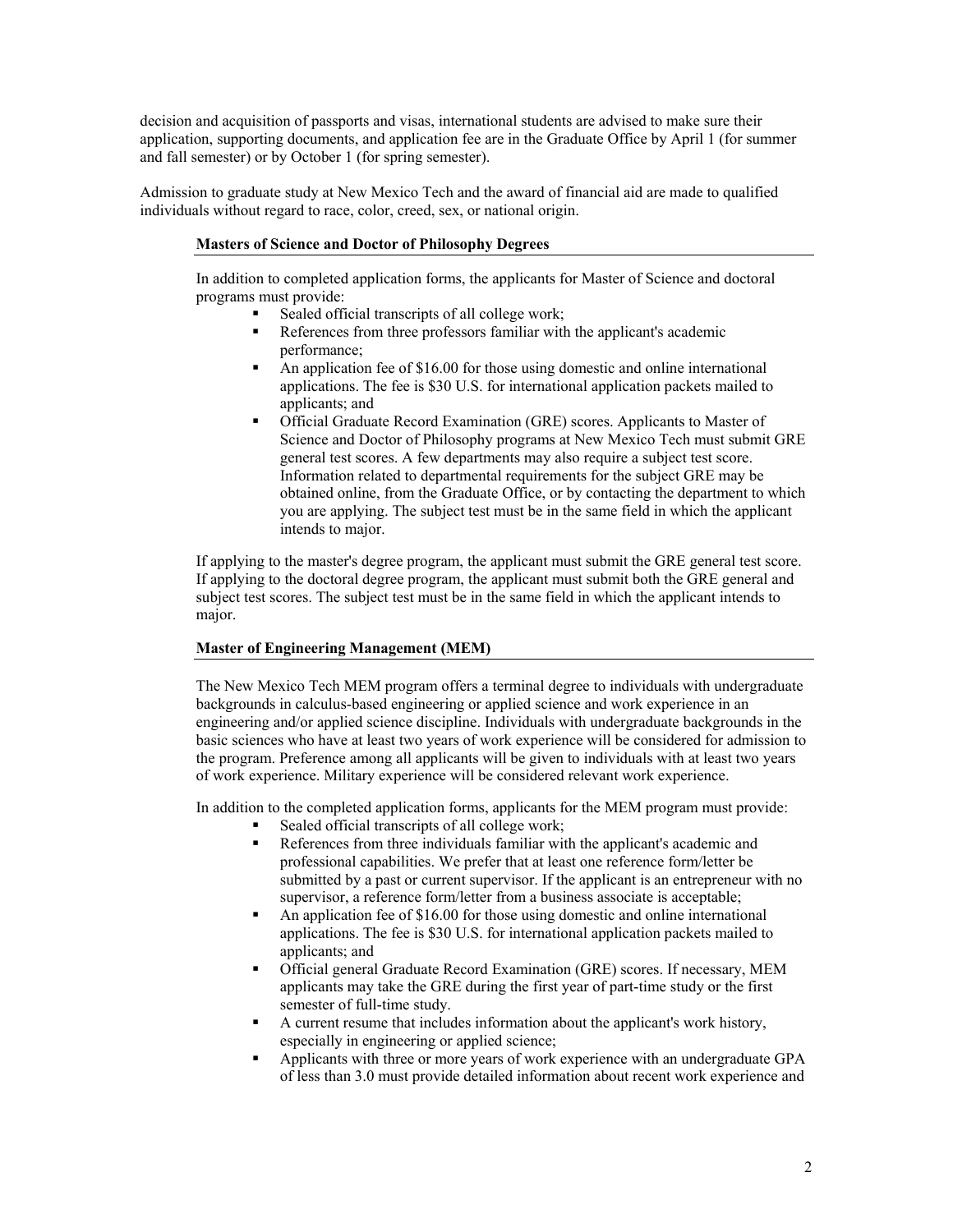decision and acquisition of passports and visas, international students are advised to make sure their application, supporting documents, and application fee are in the Graduate Office by April 1 (for summer and fall semester) or by October 1 (for spring semester).

Admission to graduate study at New Mexico Tech and the award of financial aid are made to qualified individuals without regard to race, color, creed, sex, or national origin.

# **Masters of Science and Doctor of Philosophy Degrees**

In addition to completed application forms, the applicants for Master of Science and doctoral programs must provide:

- Sealed official transcripts of all college work;
- References from three professors familiar with the applicant's academic performance;
- An application fee of \$16.00 for those using domestic and online international applications. The fee is \$30 U.S. for international application packets mailed to applicants; and
- Official Graduate Record Examination (GRE) scores. Applicants to Master of Science and Doctor of Philosophy programs at New Mexico Tech must submit GRE general test scores. A few departments may also require a subject test score. Information related to departmental requirements for the subject GRE may be obtained online, from the Graduate Office, or by contacting the department to which you are applying. The subject test must be in the same field in which the applicant intends to major.

If applying to the master's degree program, the applicant must submit the GRE general test score. If applying to the doctoral degree program, the applicant must submit both the GRE general and subject test scores. The subject test must be in the same field in which the applicant intends to major.

# **Master of Engineering Management (MEM)**

The New Mexico Tech MEM program offers a terminal degree to individuals with undergraduate backgrounds in calculus-based engineering or applied science and work experience in an engineering and/or applied science discipline. Individuals with undergraduate backgrounds in the basic sciences who have at least two years of work experience will be considered for admission to the program. Preference among all applicants will be given to individuals with at least two years of work experience. Military experience will be considered relevant work experience.

In addition to the completed application forms, applicants for the MEM program must provide:

- Sealed official transcripts of all college work;
- References from three individuals familiar with the applicant's academic and professional capabilities. We prefer that at least one reference form/letter be submitted by a past or current supervisor. If the applicant is an entrepreneur with no supervisor, a reference form/letter from a business associate is acceptable;
- An application fee of \$16.00 for those using domestic and online international applications. The fee is \$30 U.S. for international application packets mailed to applicants; and
- Official general Graduate Record Examination (GRE) scores. If necessary, MEM applicants may take the GRE during the first year of part-time study or the first semester of full-time study.
- A current resume that includes information about the applicant's work history, especially in engineering or applied science;
- Applicants with three or more years of work experience with an undergraduate GPA of less than 3.0 must provide detailed information about recent work experience and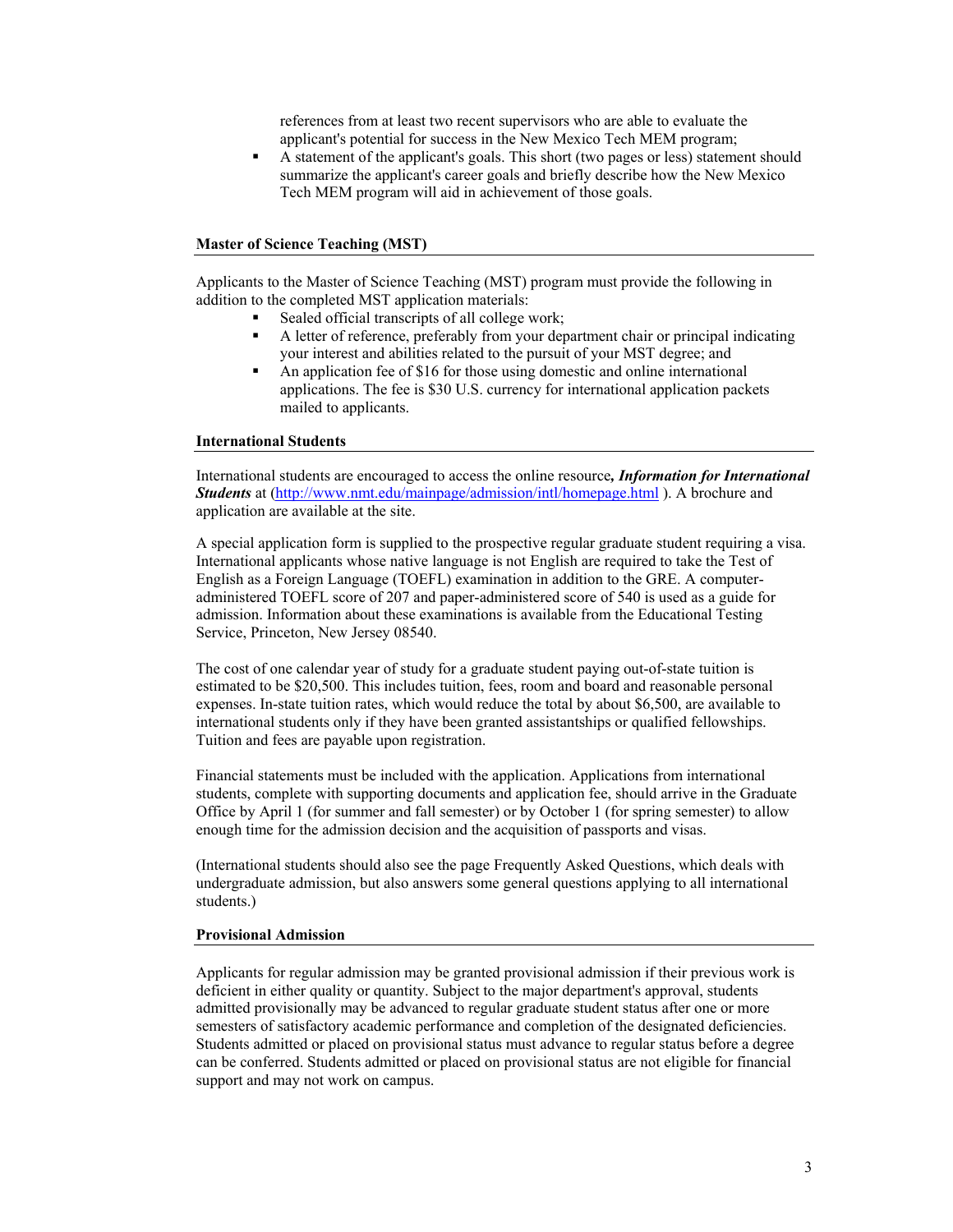references from at least two recent supervisors who are able to evaluate the applicant's potential for success in the New Mexico Tech MEM program;

 A statement of the applicant's goals. This short (two pages or less) statement should summarize the applicant's career goals and briefly describe how the New Mexico Tech MEM program will aid in achievement of those goals.

## **Master of Science Teaching (MST)**

Applicants to the Master of Science Teaching (MST) program must provide the following in addition to the completed MST application materials:

- Sealed official transcripts of all college work;
- A letter of reference, preferably from your department chair or principal indicating your interest and abilities related to the pursuit of your MST degree; and
- An application fee of \$16 for those using domestic and online international applications. The fee is \$30 U.S. currency for international application packets mailed to applicants.

## **International Students**

International students are encouraged to access the online resource*, Information for International Students* at [\(http://www.nmt.edu/mainpage/admission/intl/homepage.html](http://www.nmt.edu/mainpage/admission/intl/homepage.html) ). A brochure and application are available at the site.

A special application form is supplied to the prospective regular graduate student requiring a visa. International applicants whose native language is not English are required to take the Test of English as a Foreign Language (TOEFL) examination in addition to the GRE. A computeradministered TOEFL score of 207 and paper-administered score of 540 is used as a guide for admission. Information about these examinations is available from the Educational Testing Service, Princeton, New Jersey 08540.

The cost of one calendar year of study for a graduate student paying out-of-state tuition is estimated to be \$20,500. This includes tuition, fees, room and board and reasonable personal expenses. In-state tuition rates, which would reduce the total by about \$6,500, are available to international students only if they have been granted assistantships or qualified fellowships. Tuition and fees are payable upon registration.

Financial statements must be included with the application. Applications from international students, complete with supporting documents and application fee, should arrive in the Graduate Office by April 1 (for summer and fall semester) or by October 1 (for spring semester) to allow enough time for the admission decision and the acquisition of passports and visas.

(International students should also see the page Frequently Asked Questions, which deals with undergraduate admission, but also answers some general questions applying to all international students.)

#### **Provisional Admission**

Applicants for regular admission may be granted provisional admission if their previous work is deficient in either quality or quantity. Subject to the major department's approval, students admitted provisionally may be advanced to regular graduate student status after one or more semesters of satisfactory academic performance and completion of the designated deficiencies. Students admitted or placed on provisional status must advance to regular status before a degree can be conferred. Students admitted or placed on provisional status are not eligible for financial support and may not work on campus.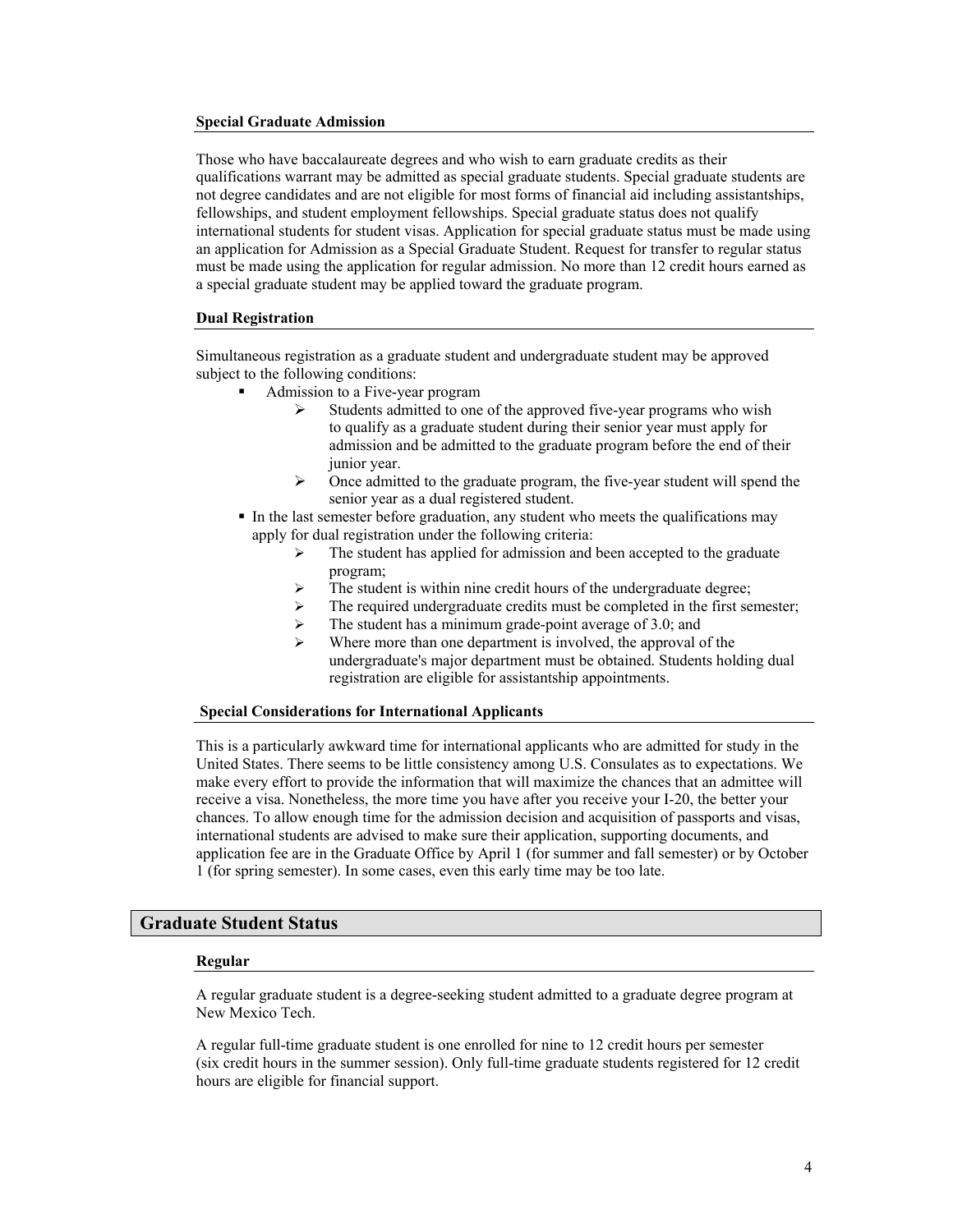#### **Special Graduate Admission**

Those who have baccalaureate degrees and who wish to earn graduate credits as their qualifications warrant may be admitted as special graduate students. Special graduate students are not degree candidates and are not eligible for most forms of financial aid including assistantships, fellowships, and student employment fellowships. Special graduate status does not qualify international students for student visas. Application for special graduate status must be made using an application for Admission as a Special Graduate Student. Request for transfer to regular status must be made using the application for regular admission. No more than 12 credit hours earned as a special graduate student may be applied toward the graduate program.

#### **Dual Registration**

Simultaneous registration as a graduate student and undergraduate student may be approved subject to the following conditions:

- Admission to a Five-year program
	- Students admitted to one of the approved five-year programs who wish to qualify as a graduate student during their senior year must apply for admission and be admitted to the graduate program before the end of their junior year.
	- $\triangleright$  Once admitted to the graduate program, the five-year student will spend the senior year as a dual registered student.
- In the last semester before graduation, any student who meets the qualifications may apply for dual registration under the following criteria:
	- $\triangleright$  The student has applied for admission and been accepted to the graduate program;
	- $\triangleright$  The student is within nine credit hours of the undergraduate degree;
	- $\triangleright$  The required undergraduate credits must be completed in the first semester;
	- $\triangleright$  The student has a minimum grade-point average of 3.0; and
	- Where more than one department is involved, the approval of the undergraduate's major department must be obtained. Students holding dual registration are eligible for assistantship appointments.

## **Special Considerations for International Applicants**

This is a particularly awkward time for international applicants who are admitted for study in the United States. There seems to be little consistency among U.S. Consulates as to expectations. We make every effort to provide the information that will maximize the chances that an admittee will receive a visa. Nonetheless, the more time you have after you receive your I-20, the better your chances. To allow enough time for the admission decision and acquisition of passports and visas, international students are advised to make sure their application, supporting documents, and application fee are in the Graduate Office by April 1 (for summer and fall semester) or by October 1 (for spring semester). In some cases, even this early time may be too late.

# **Graduate Student Status**

#### **Regular**

A regular graduate student is a degree-seeking student admitted to a graduate degree program at New Mexico Tech.

A regular full-time graduate student is one enrolled for nine to 12 credit hours per semester (six credit hours in the summer session). Only full-time graduate students registered for 12 credit hours are eligible for financial support.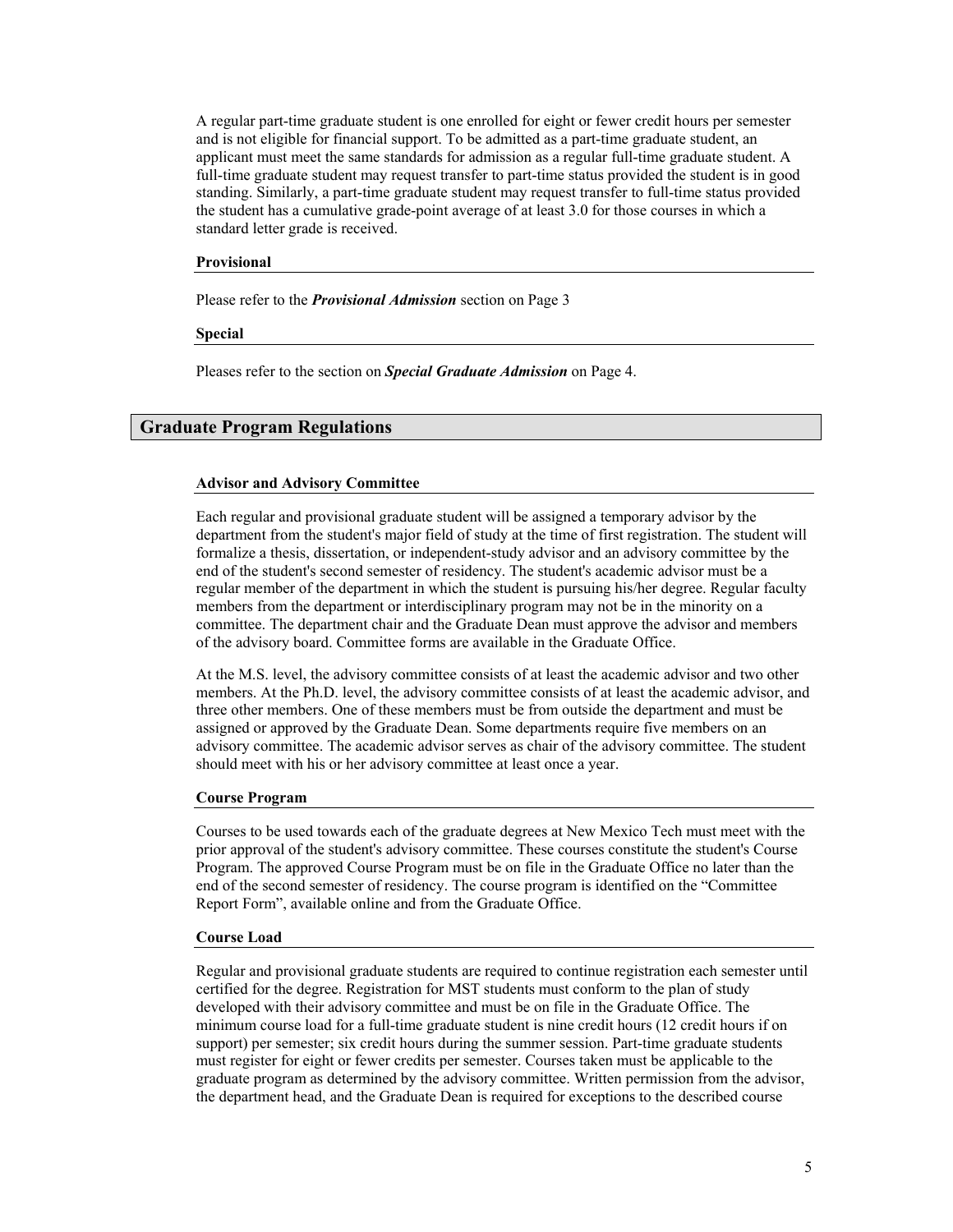A regular part-time graduate student is one enrolled for eight or fewer credit hours per semester and is not eligible for financial support. To be admitted as a part-time graduate student, an applicant must meet the same standards for admission as a regular full-time graduate student. A full-time graduate student may request transfer to part-time status provided the student is in good standing. Similarly, a part-time graduate student may request transfer to full-time status provided the student has a cumulative grade-point average of at least 3.0 for those courses in which a standard letter grade is received.

## **Provisional**

Please refer to the *Provisional Admission* section on Page 3

**Special** 

Pleases refer to the section on *Special Graduate Admission* on Page 4.

# **Graduate Program Regulations**

#### **Advisor and Advisory Committee**

Each regular and provisional graduate student will be assigned a temporary advisor by the department from the student's major field of study at the time of first registration. The student will formalize a thesis, dissertation, or independent-study advisor and an advisory committee by the end of the student's second semester of residency. The student's academic advisor must be a regular member of the department in which the student is pursuing his/her degree. Regular faculty members from the department or interdisciplinary program may not be in the minority on a committee. The department chair and the Graduate Dean must approve the advisor and members of the advisory board. Committee forms are available in the Graduate Office.

At the M.S. level, the advisory committee consists of at least the academic advisor and two other members. At the Ph.D. level, the advisory committee consists of at least the academic advisor, and three other members. One of these members must be from outside the department and must be assigned or approved by the Graduate Dean. Some departments require five members on an advisory committee. The academic advisor serves as chair of the advisory committee. The student should meet with his or her advisory committee at least once a year.

## **Course Program**

Courses to be used towards each of the graduate degrees at New Mexico Tech must meet with the prior approval of the student's advisory committee. These courses constitute the student's Course Program. The approved Course Program must be on file in the Graduate Office no later than the end of the second semester of residency. The course program is identified on the "Committee Report Form", available online and from the Graduate Office.

#### **Course Load**

Regular and provisional graduate students are required to continue registration each semester until certified for the degree. Registration for MST students must conform to the plan of study developed with their advisory committee and must be on file in the Graduate Office. The minimum course load for a full-time graduate student is nine credit hours (12 credit hours if on support) per semester; six credit hours during the summer session. Part-time graduate students must register for eight or fewer credits per semester. Courses taken must be applicable to the graduate program as determined by the advisory committee. Written permission from the advisor, the department head, and the Graduate Dean is required for exceptions to the described course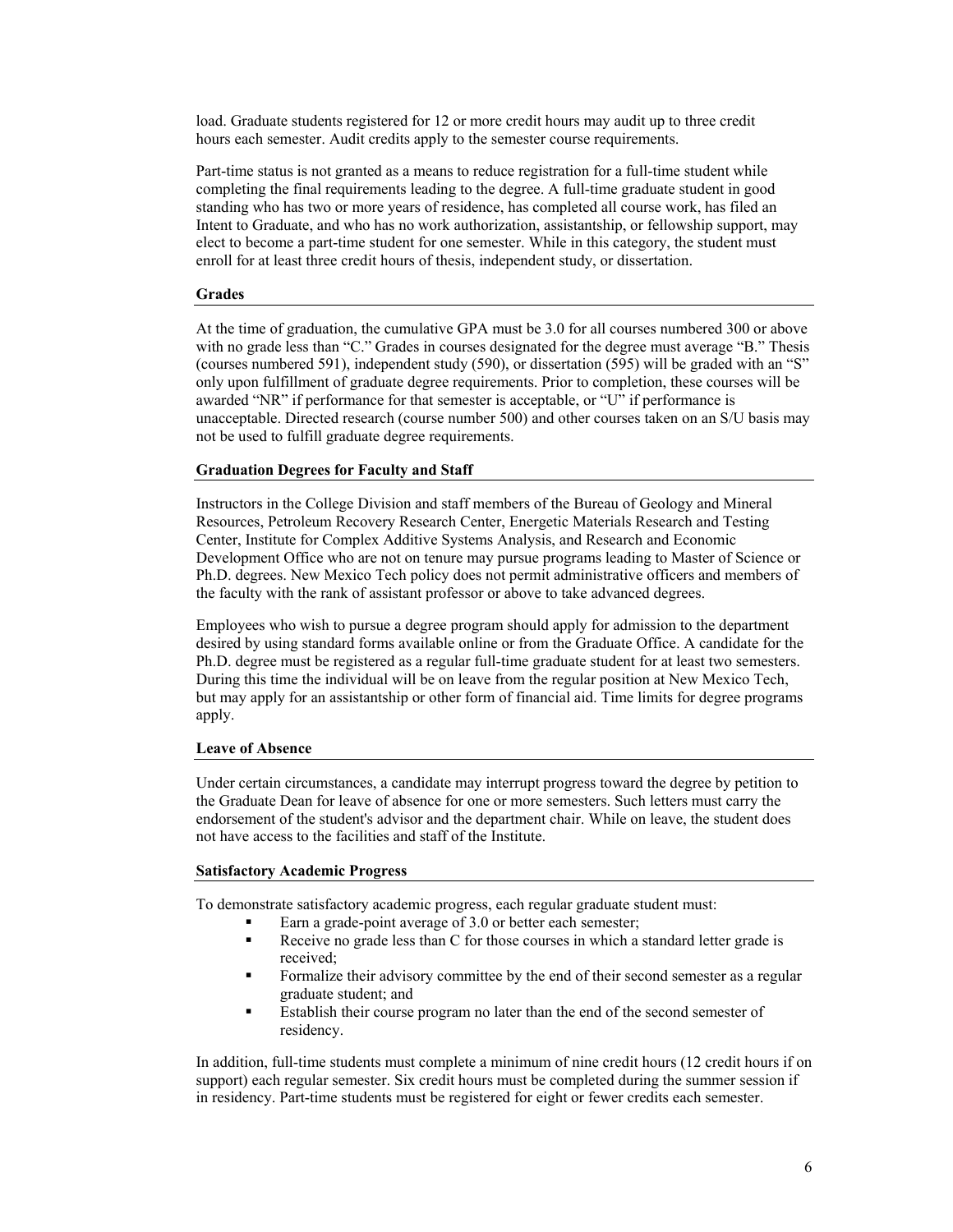load. Graduate students registered for 12 or more credit hours may audit up to three credit hours each semester. Audit credits apply to the semester course requirements.

Part-time status is not granted as a means to reduce registration for a full-time student while completing the final requirements leading to the degree. A full-time graduate student in good standing who has two or more years of residence, has completed all course work, has filed an Intent to Graduate, and who has no work authorization, assistantship, or fellowship support, may elect to become a part-time student for one semester. While in this category, the student must enroll for at least three credit hours of thesis, independent study, or dissertation.

# **Grades**

At the time of graduation, the cumulative GPA must be 3.0 for all courses numbered 300 or above with no grade less than "C." Grades in courses designated for the degree must average "B." Thesis (courses numbered 591), independent study (590), or dissertation (595) will be graded with an "S" only upon fulfillment of graduate degree requirements. Prior to completion, these courses will be awarded "NR" if performance for that semester is acceptable, or "U" if performance is unacceptable. Directed research (course number 500) and other courses taken on an S/U basis may not be used to fulfill graduate degree requirements.

# **Graduation Degrees for Faculty and Staff**

Instructors in the College Division and staff members of the Bureau of Geology and Mineral Resources, Petroleum Recovery Research Center, Energetic Materials Research and Testing Center, Institute for Complex Additive Systems Analysis, and Research and Economic Development Office who are not on tenure may pursue programs leading to Master of Science or Ph.D. degrees. New Mexico Tech policy does not permit administrative officers and members of the faculty with the rank of assistant professor or above to take advanced degrees.

Employees who wish to pursue a degree program should apply for admission to the department desired by using standard forms available online or from the Graduate Office. A candidate for the Ph.D. degree must be registered as a regular full-time graduate student for at least two semesters. During this time the individual will be on leave from the regular position at New Mexico Tech, but may apply for an assistantship or other form of financial aid. Time limits for degree programs apply.

## **Leave of Absence**

Under certain circumstances, a candidate may interrupt progress toward the degree by petition to the Graduate Dean for leave of absence for one or more semesters. Such letters must carry the endorsement of the student's advisor and the department chair. While on leave, the student does not have access to the facilities and staff of the Institute.

## **Satisfactory Academic Progress**

To demonstrate satisfactory academic progress, each regular graduate student must:

- Earn a grade-point average of 3.0 or better each semester;
- Receive no grade less than C for those courses in which a standard letter grade is received;
- Formalize their advisory committee by the end of their second semester as a regular graduate student; and
- Establish their course program no later than the end of the second semester of residency.

In addition, full-time students must complete a minimum of nine credit hours (12 credit hours if on support) each regular semester. Six credit hours must be completed during the summer session if in residency. Part-time students must be registered for eight or fewer credits each semester.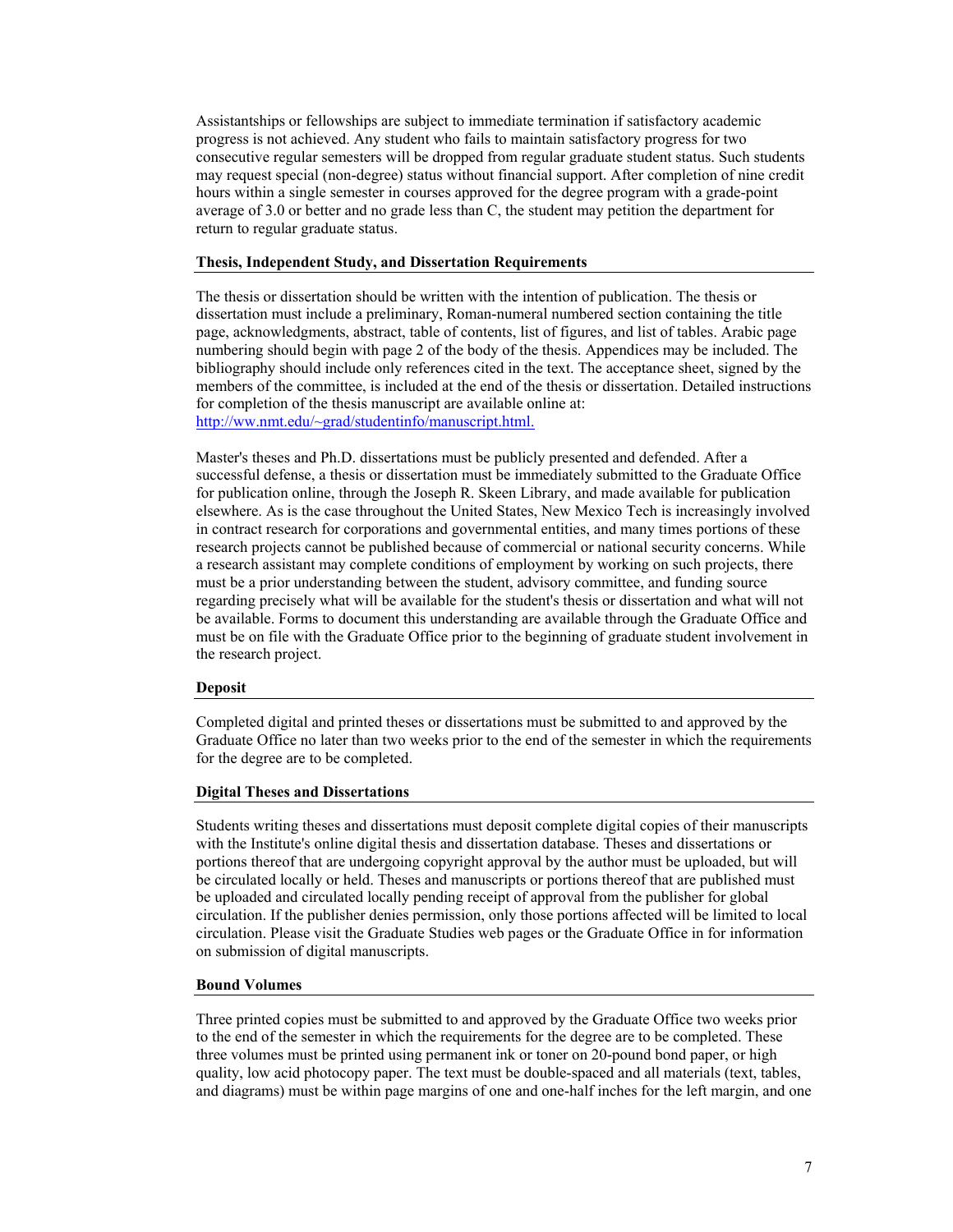Assistantships or fellowships are subject to immediate termination if satisfactory academic progress is not achieved. Any student who fails to maintain satisfactory progress for two consecutive regular semesters will be dropped from regular graduate student status. Such students may request special (non-degree) status without financial support. After completion of nine credit hours within a single semester in courses approved for the degree program with a grade-point average of 3.0 or better and no grade less than C, the student may petition the department for return to regular graduate status.

## **Thesis, Independent Study, and Dissertation Requirements**

The thesis or dissertation should be written with the intention of publication. The thesis or dissertation must include a preliminary, Roman-numeral numbered section containing the title page, acknowledgments, abstract, table of contents, list of figures, and list of tables. Arabic page numbering should begin with page 2 of the body of the thesis. Appendices may be included. The bibliography should include only references cited in the text. The acceptance sheet, signed by the members of the committee, is included at the end of the thesis or dissertation. Detailed instructions for completion of the thesis manuscript are available online at: http://ww.nmt.edu/~grad/studentinfo/manuscript.html.

Master's theses and Ph.D. dissertations must be publicly presented and defended. After a successful defense, a thesis or dissertation must be immediately submitted to the Graduate Office for publication online, through the Joseph R. Skeen Library, and made available for publication elsewhere. As is the case throughout the United States, New Mexico Tech is increasingly involved in contract research for corporations and governmental entities, and many times portions of these research projects cannot be published because of commercial or national security concerns. While a research assistant may complete conditions of employment by working on such projects, there must be a prior understanding between the student, advisory committee, and funding source regarding precisely what will be available for the student's thesis or dissertation and what will not be available. Forms to document this understanding are available through the Graduate Office and must be on file with the Graduate Office prior to the beginning of graduate student involvement in the research project.

## **Deposit**

Completed digital and printed theses or dissertations must be submitted to and approved by the Graduate Office no later than two weeks prior to the end of the semester in which the requirements for the degree are to be completed.

## **Digital Theses and Dissertations**

Students writing theses and dissertations must deposit complete digital copies of their manuscripts with the Institute's online digital thesis and dissertation database. Theses and dissertations or portions thereof that are undergoing copyright approval by the author must be uploaded, but will be circulated locally or held. Theses and manuscripts or portions thereof that are published must be uploaded and circulated locally pending receipt of approval from the publisher for global circulation. If the publisher denies permission, only those portions affected will be limited to local circulation. Please visit the Graduate Studies web pages or the Graduate Office in for information on submission of digital manuscripts.

#### **Bound Volumes**

Three printed copies must be submitted to and approved by the Graduate Office two weeks prior to the end of the semester in which the requirements for the degree are to be completed. These three volumes must be printed using permanent ink or toner on 20-pound bond paper, or high quality, low acid photocopy paper. The text must be double-spaced and all materials (text, tables, and diagrams) must be within page margins of one and one-half inches for the left margin, and one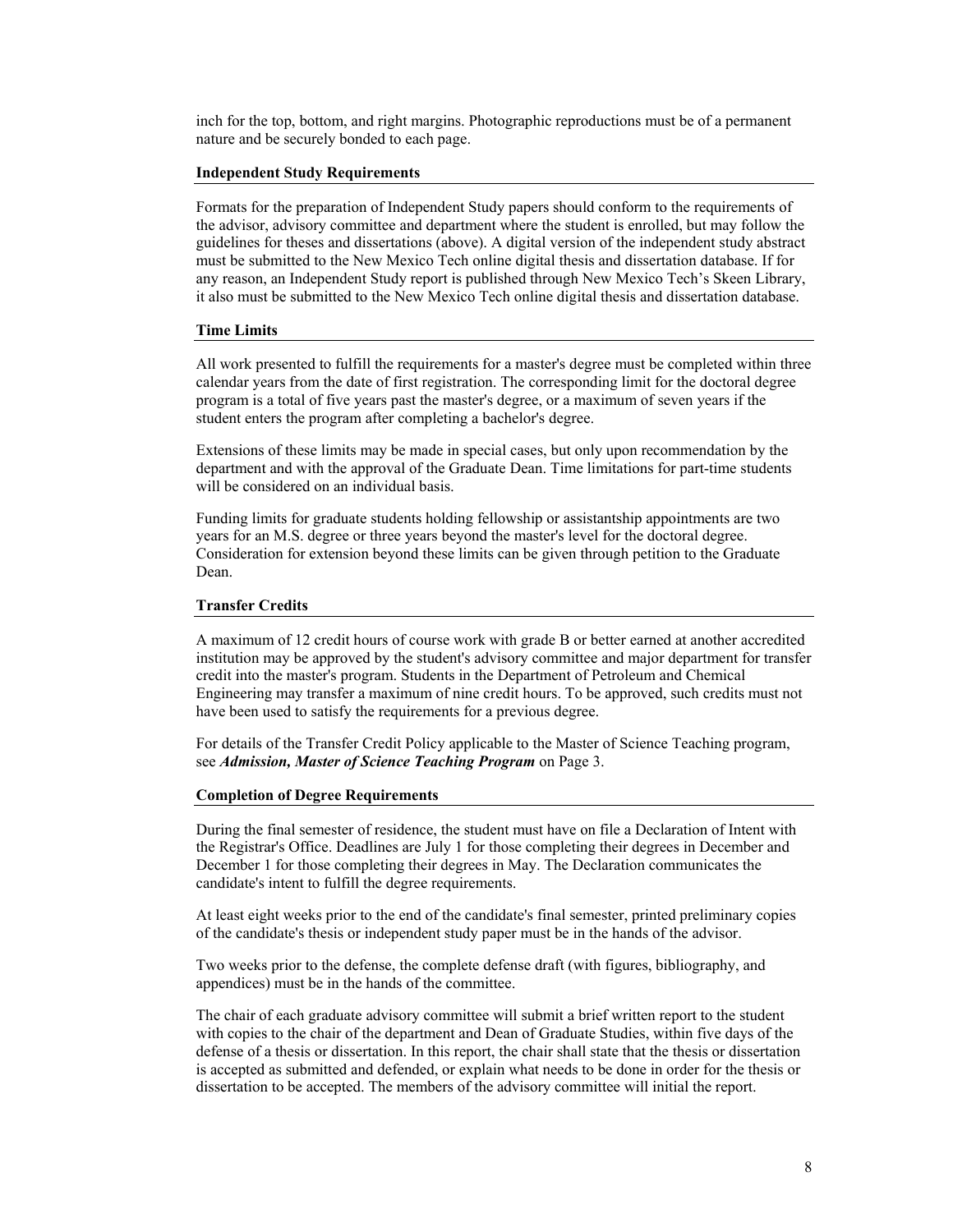inch for the top, bottom, and right margins. Photographic reproductions must be of a permanent nature and be securely bonded to each page.

## **Independent Study Requirements**

Formats for the preparation of Independent Study papers should conform to the requirements of the advisor, advisory committee and department where the student is enrolled, but may follow the guidelines for theses and dissertations (above). A digital version of the independent study abstract must be submitted to the New Mexico Tech online digital thesis and dissertation database. If for any reason, an Independent Study report is published through New Mexico Tech's Skeen Library, it also must be submitted to the New Mexico Tech online digital thesis and dissertation database.

# **Time Limits**

All work presented to fulfill the requirements for a master's degree must be completed within three calendar years from the date of first registration. The corresponding limit for the doctoral degree program is a total of five years past the master's degree, or a maximum of seven years if the student enters the program after completing a bachelor's degree.

Extensions of these limits may be made in special cases, but only upon recommendation by the department and with the approval of the Graduate Dean. Time limitations for part-time students will be considered on an individual basis.

Funding limits for graduate students holding fellowship or assistantship appointments are two years for an M.S. degree or three years beyond the master's level for the doctoral degree. Consideration for extension beyond these limits can be given through petition to the Graduate Dean.

# **Transfer Credits**

A maximum of 12 credit hours of course work with grade B or better earned at another accredited institution may be approved by the student's advisory committee and major department for transfer credit into the master's program. Students in the Department of Petroleum and Chemical Engineering may transfer a maximum of nine credit hours. To be approved, such credits must not have been used to satisfy the requirements for a previous degree.

For details of the Transfer Credit Policy applicable to the Master of Science Teaching program, see *Admission, Master of Science Teaching Program* on Page 3.

## **Completion of Degree Requirements**

During the final semester of residence, the student must have on file a Declaration of Intent with the Registrar's Office. Deadlines are July 1 for those completing their degrees in December and December 1 for those completing their degrees in May. The Declaration communicates the candidate's intent to fulfill the degree requirements.

At least eight weeks prior to the end of the candidate's final semester, printed preliminary copies of the candidate's thesis or independent study paper must be in the hands of the advisor.

Two weeks prior to the defense, the complete defense draft (with figures, bibliography, and appendices) must be in the hands of the committee.

The chair of each graduate advisory committee will submit a brief written report to the student with copies to the chair of the department and Dean of Graduate Studies, within five days of the defense of a thesis or dissertation. In this report, the chair shall state that the thesis or dissertation is accepted as submitted and defended, or explain what needs to be done in order for the thesis or dissertation to be accepted. The members of the advisory committee will initial the report.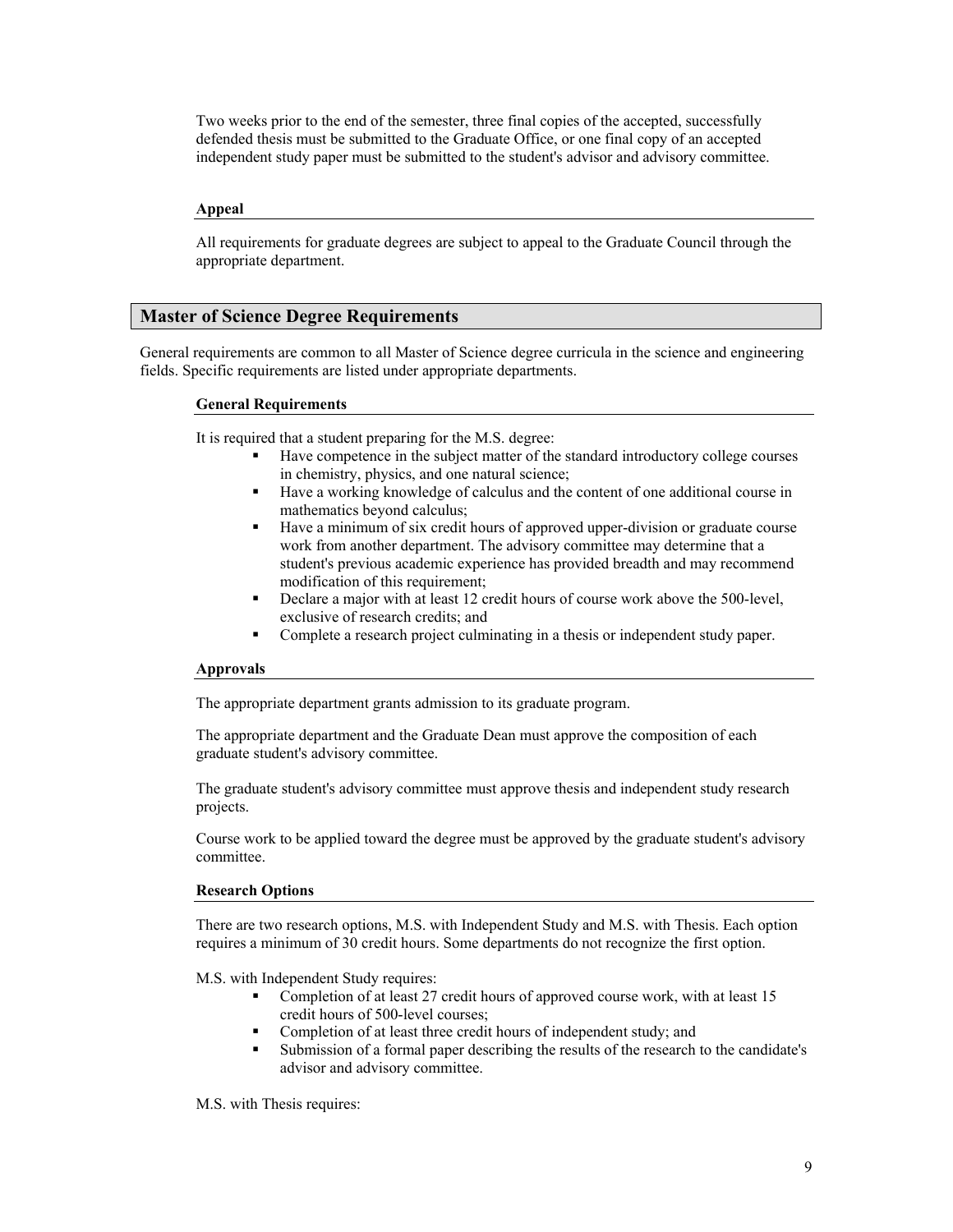Two weeks prior to the end of the semester, three final copies of the accepted, successfully defended thesis must be submitted to the Graduate Office, or one final copy of an accepted independent study paper must be submitted to the student's advisor and advisory committee.

## **Appeal**

All requirements for graduate degrees are subject to appeal to the Graduate Council through the appropriate department.

# **Master of Science Degree Requirements**

General requirements are common to all Master of Science degree curricula in the science and engineering fields. Specific requirements are listed under appropriate departments.

# **General Requirements**

It is required that a student preparing for the M.S. degree:

- Have competence in the subject matter of the standard introductory college courses in chemistry, physics, and one natural science;
- Have a working knowledge of calculus and the content of one additional course in mathematics beyond calculus;
- Have a minimum of six credit hours of approved upper-division or graduate course work from another department. The advisory committee may determine that a student's previous academic experience has provided breadth and may recommend modification of this requirement;
- Declare a major with at least 12 credit hours of course work above the 500-level, exclusive of research credits; and
- Complete a research project culminating in a thesis or independent study paper.

# **Approvals**

The appropriate department grants admission to its graduate program.

The appropriate department and the Graduate Dean must approve the composition of each graduate student's advisory committee.

The graduate student's advisory committee must approve thesis and independent study research projects.

Course work to be applied toward the degree must be approved by the graduate student's advisory committee.

## **Research Options**

There are two research options, M.S. with Independent Study and M.S. with Thesis. Each option requires a minimum of 30 credit hours. Some departments do not recognize the first option.

M.S. with Independent Study requires:

- Completion of at least 27 credit hours of approved course work, with at least 15 credit hours of 500-level courses;
- Completion of at least three credit hours of independent study; and
- Submission of a formal paper describing the results of the research to the candidate's advisor and advisory committee.

M.S. with Thesis requires: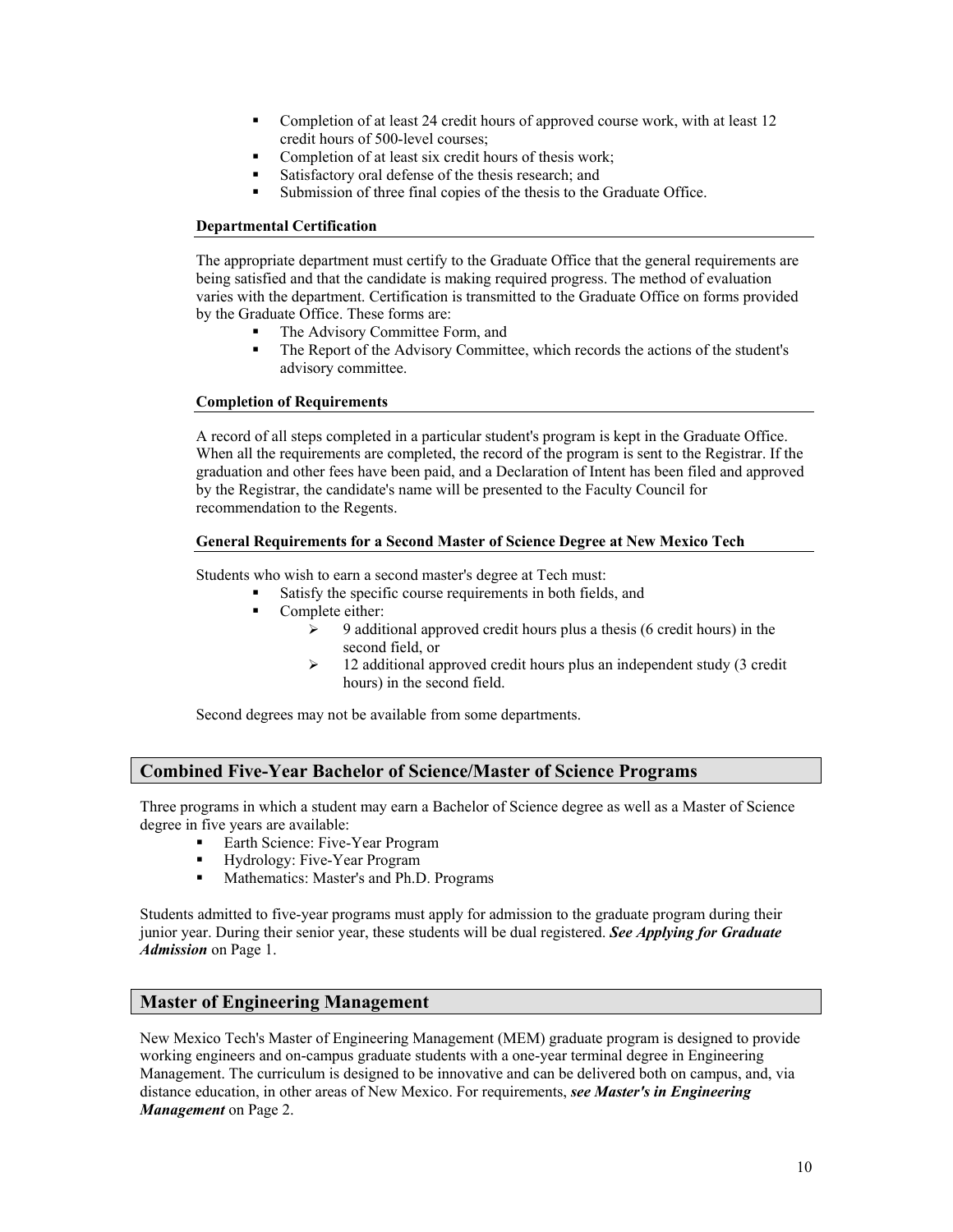- Completion of at least 24 credit hours of approved course work, with at least 12 credit hours of 500-level courses;
- Completion of at least six credit hours of thesis work;
- Satisfactory oral defense of the thesis research; and
- Submission of three final copies of the thesis to the Graduate Office.

# **Departmental Certification**

The appropriate department must certify to the Graduate Office that the general requirements are being satisfied and that the candidate is making required progress. The method of evaluation varies with the department. Certification is transmitted to the Graduate Office on forms provided by the Graduate Office. These forms are:

- The Advisory Committee Form, and
- The Report of the Advisory Committee, which records the actions of the student's advisory committee.

# **Completion of Requirements**

A record of all steps completed in a particular student's program is kept in the Graduate Office. When all the requirements are completed, the record of the program is sent to the Registrar. If the graduation and other fees have been paid, and a Declaration of Intent has been filed and approved by the Registrar, the candidate's name will be presented to the Faculty Council for recommendation to the Regents.

# **General Requirements for a Second Master of Science Degree at New Mexico Tech**

Students who wish to earn a second master's degree at Tech must:

- Satisfy the specific course requirements in both fields, and
- Complete either:
	- $\geq$  9 additional approved credit hours plus a thesis (6 credit hours) in the second field, or
	- $\geq$  12 additional approved credit hours plus an independent study (3 credit hours) in the second field.

Second degrees may not be available from some departments.

# **Combined Five-Year Bachelor of Science/Master of Science Programs**

Three programs in which a student may earn a Bachelor of Science degree as well as a Master of Science degree in five years are available:

- Earth Science: Five-Year Program
- Hydrology: Five-Year Program<br>Mathematics: Master's and Ph D
- Mathematics: Master's and Ph.D. Programs

Students admitted to five-year programs must apply for admission to the graduate program during their junior year. During their senior year, these students will be dual registered. *See Applying for Graduate Admission* on Page 1.

# **Master of Engineering Management**

New Mexico Tech's Master of Engineering Management (MEM) graduate program is designed to provide working engineers and on-campus graduate students with a one-year terminal degree in Engineering Management. The curriculum is designed to be innovative and can be delivered both on campus, and, via distance education, in other areas of New Mexico. For requirements, *see Master's in Engineering Management* on Page 2.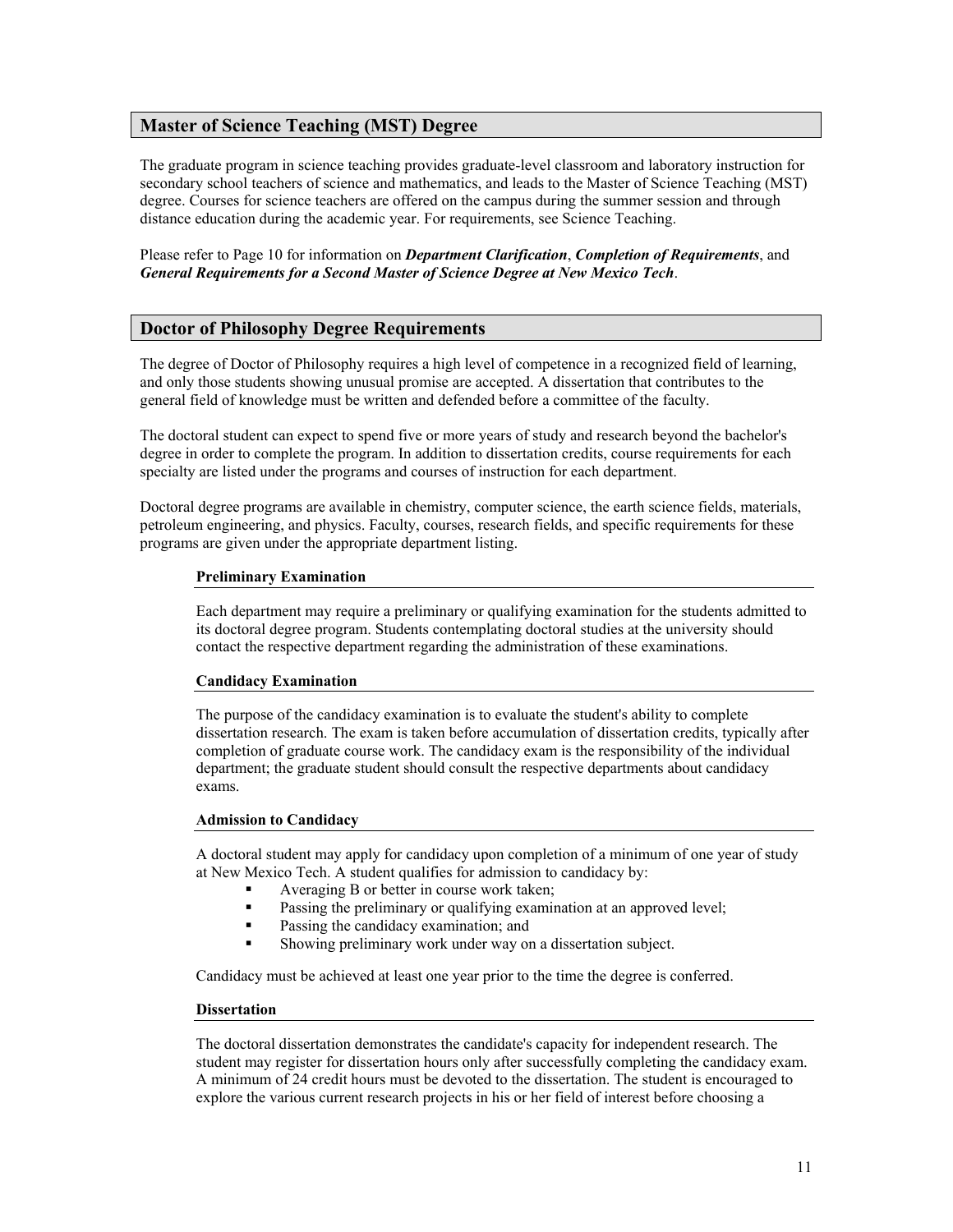# **Master of Science Teaching (MST) Degree**

The graduate program in science teaching provides graduate-level classroom and laboratory instruction for secondary school teachers of science and mathematics, and leads to the Master of Science Teaching (MST) degree. Courses for science teachers are offered on the campus during the summer session and through distance education during the academic year. For requirements, see Science Teaching.

Please refer to Page 10 for information on *Department Clarification*, *Completion of Requirements*, and *General Requirements for a Second Master of Science Degree at New Mexico Tech*.

# **Doctor of Philosophy Degree Requirements**

The degree of Doctor of Philosophy requires a high level of competence in a recognized field of learning, and only those students showing unusual promise are accepted. A dissertation that contributes to the general field of knowledge must be written and defended before a committee of the faculty.

The doctoral student can expect to spend five or more years of study and research beyond the bachelor's degree in order to complete the program. In addition to dissertation credits, course requirements for each specialty are listed under the programs and courses of instruction for each department.

Doctoral degree programs are available in chemistry, computer science, the earth science fields, materials, petroleum engineering, and physics. Faculty, courses, research fields, and specific requirements for these programs are given under the appropriate department listing.

# **Preliminary Examination**

Each department may require a preliminary or qualifying examination for the students admitted to its doctoral degree program. Students contemplating doctoral studies at the university should contact the respective department regarding the administration of these examinations.

## **Candidacy Examination**

The purpose of the candidacy examination is to evaluate the student's ability to complete dissertation research. The exam is taken before accumulation of dissertation credits, typically after completion of graduate course work. The candidacy exam is the responsibility of the individual department; the graduate student should consult the respective departments about candidacy exams.

## **Admission to Candidacy**

A doctoral student may apply for candidacy upon completion of a minimum of one year of study at New Mexico Tech. A student qualifies for admission to candidacy by:

- Averaging B or better in course work taken;
- Passing the preliminary or qualifying examination at an approved level;
- **Passing the candidacy examination; and**
- Showing preliminary work under way on a dissertation subject.

Candidacy must be achieved at least one year prior to the time the degree is conferred.

## **Dissertation**

The doctoral dissertation demonstrates the candidate's capacity for independent research. The student may register for dissertation hours only after successfully completing the candidacy exam. A minimum of 24 credit hours must be devoted to the dissertation. The student is encouraged to explore the various current research projects in his or her field of interest before choosing a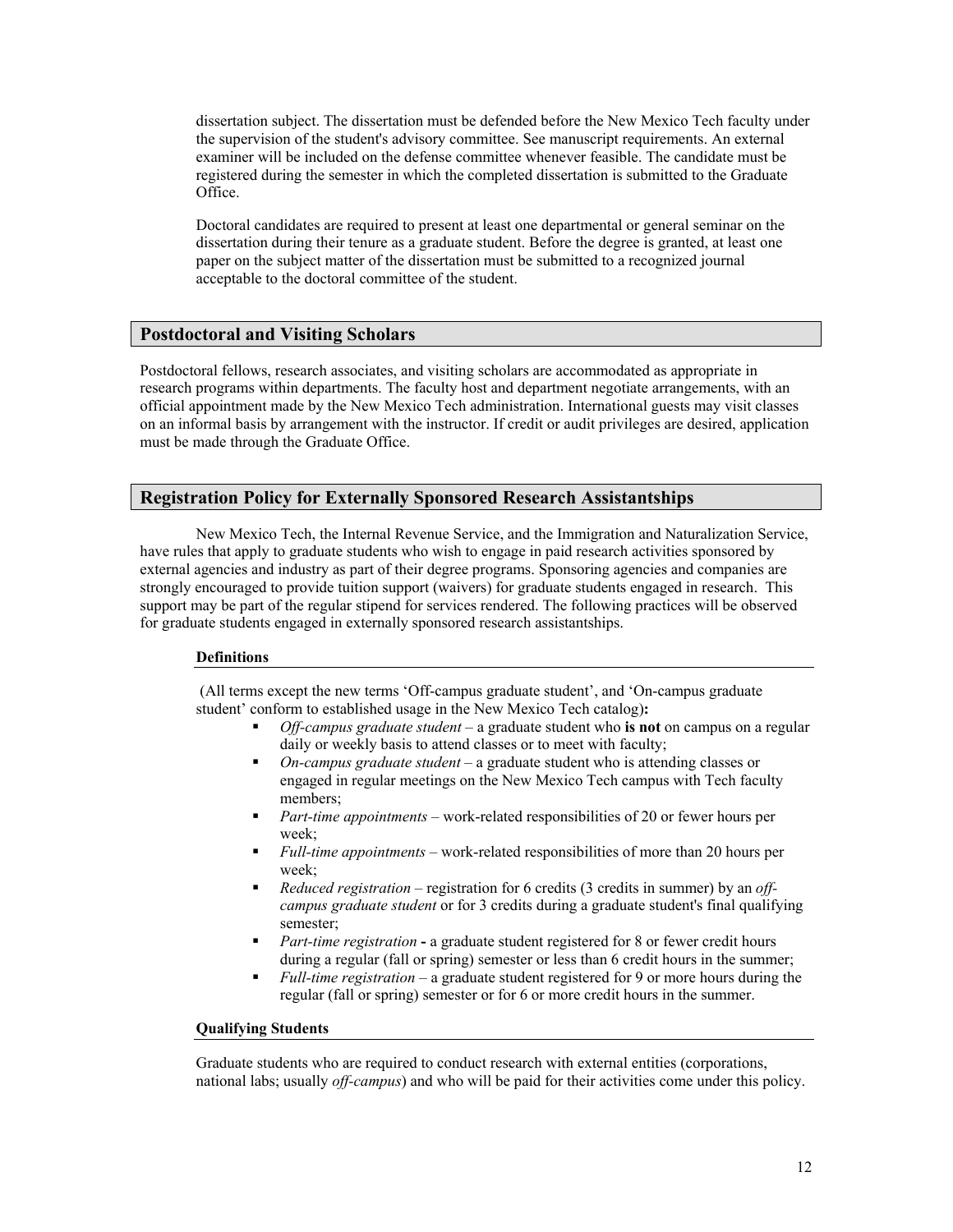dissertation subject. The dissertation must be defended before the New Mexico Tech faculty under the supervision of the student's advisory committee. See manuscript requirements. An external examiner will be included on the defense committee whenever feasible. The candidate must be registered during the semester in which the completed dissertation is submitted to the Graduate Office.

Doctoral candidates are required to present at least one departmental or general seminar on the dissertation during their tenure as a graduate student. Before the degree is granted, at least one paper on the subject matter of the dissertation must be submitted to a recognized journal acceptable to the doctoral committee of the student.

# **Postdoctoral and Visiting Scholars**

Postdoctoral fellows, research associates, and visiting scholars are accommodated as appropriate in research programs within departments. The faculty host and department negotiate arrangements, with an official appointment made by the New Mexico Tech administration. International guests may visit classes on an informal basis by arrangement with the instructor. If credit or audit privileges are desired, application must be made through the Graduate Office.

# **Registration Policy for Externally Sponsored Research Assistantships**

New Mexico Tech, the Internal Revenue Service, and the Immigration and Naturalization Service, have rules that apply to graduate students who wish to engage in paid research activities sponsored by external agencies and industry as part of their degree programs. Sponsoring agencies and companies are strongly encouraged to provide tuition support (waivers) for graduate students engaged in research. This support may be part of the regular stipend for services rendered. The following practices will be observed for graduate students engaged in externally sponsored research assistantships.

## **Definitions**

(All terms except the new terms 'Off-campus graduate student', and 'On-campus graduate student' conform to established usage in the New Mexico Tech catalog)**:** 

- *Off-campus graduate student* a graduate student who **is not** on campus on a regular daily or weekly basis to attend classes or to meet with faculty;
- *On-campus graduate student* a graduate student who is attending classes or engaged in regular meetings on the New Mexico Tech campus with Tech faculty members;
- *Part-time appointments* work-related responsibilities of 20 or fewer hours per week;
- *Full-time appointments* work-related responsibilities of more than 20 hours per week;
- *Reduced registration* registration for 6 credits (3 credits in summer) by an *offcampus graduate student* or for 3 credits during a graduate student's final qualifying semester;
- *Part-time registration* a graduate student registered for 8 or fewer credit hours during a regular (fall or spring) semester or less than 6 credit hours in the summer;
- *Full-time registration* a graduate student registered for 9 or more hours during the regular (fall or spring) semester or for 6 or more credit hours in the summer.

## **Qualifying Students**

Graduate students who are required to conduct research with external entities (corporations, national labs; usually *off-campus*) and who will be paid for their activities come under this policy.